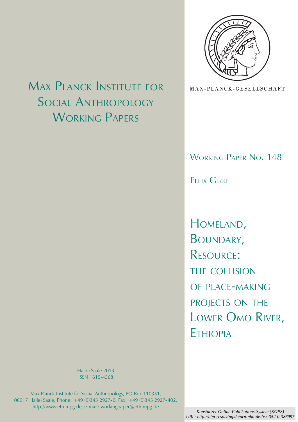

MAX-PLANCK-GESELLSCHAFT

# WORKING PAPER NO. 148

Felix Girke

Homeland, Boundary, Resource: the collision of place-making projects on the Lower Omo River, Ethiopia

Max Planck Institute for Social Anthropology WORKING PAPERS

> Halle/Saale 2013 ISSN 1615-4568

Max Planck Institute for Social Anthropology, PO Box 110351, 06017 Halle/Saale, Phone: +49 (0)345 2927-0, Fax: +49 (0)345 2927-402, http://www.eth.mpg.de, e-mail: workingpaper@eth.mpg.de

*Konstanzer Online-Publikations-System (KOPS) URL: http://nbn-resolving.de/urn:nbn:de:bsz:352-0-386997*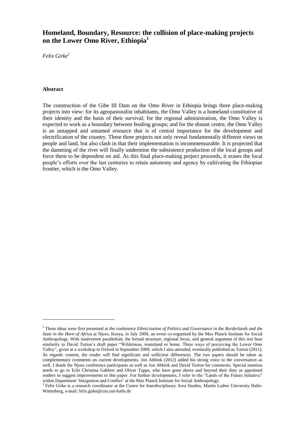# **Homeland, Boundary, Resource: the collision of place-making projects on the Lower Omo River, Ethiopia<sup>1</sup>**

*Felix Girke<sup>2</sup>*

# **Abstract**

1

The construction of the Gibe III Dam on the Omo River in Ethiopia brings three place-making projects into view: for its agropastoralist inhabitants, the Omo Valley is a homeland constitutive of their identity and the basis of their survival; for the regional administration, the Omo Valley is expected to work as a boundary between feuding groups; and for the distant centre, the Omo Valley is an untapped and untamed resource that is of central importance for the development and electrification of the country. These three projects not only reveal fundamentally different views on people and land, but also clash in that their implementation is incommensurable. It is projected that the damming of the river will finally undermine the subsistence production of the local groups and force them to be dependent on aid. As this final place-making project proceeds, it erases the local people"s efforts over the last centuries to retain autonomy and agency by cultivating the Ethiopian frontier, which is the Omo Valley.

<sup>1</sup> These ideas were first presented at the conference *Ethnicisation of Politics and Governance in the Borderlands and the State in the Horn of Africa* at Njoro, Kenya, in July 2009, an event co-organised by the Max Planck Institute for Social Anthropology. With inadvertent parallelism, the formal structure, regional focus, and general argument of this text bear similarity to David Turton's draft paper "Wilderness, wasteland or home. Three ways of perceiving the Lower Omo Valley", given at a workshop in Oxford in September 2009, which I also attended, eventually published as Turton (2011). As regards content, the reader will find significant and sufficient differences. The two papers should be taken as complementary comments on current developments. Jon Abbink (2012) added his strong voice to the conversation as well. I thank the Njoro conference participants as well as Jon Abbink and David Turton for comments. Special mention needs to go to Echi Christina Gabbert and Oliver Tappe, who have gone above and beyond their duty as appointed readers to suggest improvements to this paper. For further developments, I refer to the "Lands of the Future Initiative"

within Department 'Integration and Conflict' at the Max Planck Institute for Social Anthropology.<br><sup>2</sup> Felix Girke is a research coordinator at the Centre for Interdisciplinary Area Studies, Martin Luther University Halle-Wittenberg, e-mail: felix.girke@zirs.uni-halle.de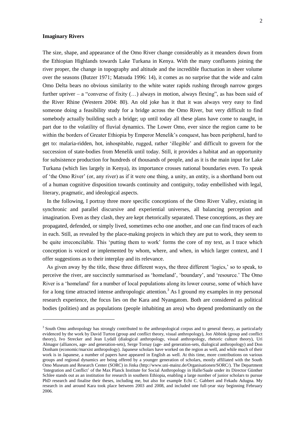# **Imaginary Rivers**

1

 $\overline{2}$ 

The size, shape, and appearance of the Omo River change considerably as it meanders down from the Ethiopian Highlands towards Lake Turkana in Kenya. With the many confluents joining the river proper, the change in topography and altitude and the incredible fluctuation in sheer volume over the seasons (Butzer 1971; Matsuda 1996: 14), it comes as no surprise that the wide and calm Omo Delta bears no obvious similarity to the white water rapids rushing through narrow gorges further upriver – a "converse of fixity  $(...)$  always in motion, always flexing", as has been said of the River Rhine (Western 2004: 80). An old joke has it that it was always very easy to find someone doing a feasibility study for a bridge across the Omo River, but very difficult to find somebody actually building such a bridge; up until today all these plans have come to naught, in part due to the volatility of fluvial dynamics. The Lower Omo, ever since the region came to be within the borders of Greater Ethiopia by Emperor Menelik's conquest, has been peripheral, hard to get to: malaria-ridden, hot, inhospitable, rugged, rather "illegible" and difficult to govern for the succession of state-bodies from Menelik until today. Still, it provides a habitat and an opportunity for subsistence production for hundreds of thousands of people, and as it is the main input for Lake Turkana (which lies largely in Kenya), its importance crosses national boundaries even. To speak of "the Omo River" (or, any river) as if it were one thing, a unity, an entity, is a shorthand born out of a human cognitive disposition towards continuity and contiguity, today embellished with legal, literary, pragmatic, and ideological aspects.

In the following, I portray three more specific conceptions of the Omo River Valley, existing in synchronic and parallel discursive and experiential universes, all balancing perception and imagination. Even as they clash, they are kept rhetorically separated. These conceptions, as they are propagated, defended, or simply lived, sometimes echo one another, and one can find traces of each in each. Still, as revealed by the place-making projects in which they are put to work, they seem to be quite irreconcilable. This "putting them to work" forms the core of my text, as I trace which conception is voiced or implemented by whom, where, and when, in which larger context, and I offer suggestions as to their interplay and its relevance.

As given away by the title, these three different ways, the three different "logics," so to speak, to perceive the river, are succinctly summarised as "homeland", "boundary", and "resource." The Omo River is a "homeland" for a number of local populations along its lower course, some of which have for a long time attracted intense anthropologic attention.<sup>3</sup> As I ground my examples in my personal research experience, the focus lies on the Kara and Nyangatom. Both are considered as political bodies (polities) and as populations (people inhabiting an area) who depend predominantly on the

<sup>&</sup>lt;sup>3</sup> South Omo anthropology has strongly contributed to the anthropological corpus and to general theory, as particularly evidenced by the work by David Turton (group and conflict theory, visual anthropology), Jon Abbink (group and conflict theory), Ivo Strecker and Jean Lydall (dialogical anthropology, visual anthropology, rhetoric culture theory), Uri Almagor (alliances, age- and generation-sets), Serge Tornay (age- and generation-sets, dialogical anthropology) and Don Donham (economic/marxist anthropology). Japanese scholars have worked on the region as well, and while much of their work is in Japanese, a number of papers have appeared in English as well. At this time, more contributions on various groups and regional dynamics are being offered by a younger generation of scholars, mostly affiliated with the South Omo Museum and Research Center (SORC) in Jinka (http://www.uni-mainz.de/Organisationen/SORC/). The Department "Integration and Conflict" of the Max Planck Institute for Social Anthropology in Halle/Saale under its Director Günther Schlee stands out as an institution for research in southern Ethiopia, enabling a large number of junior scholars to pursue PhD research and finalise their theses, including me, but also for example Echi C. Gabbert and Fekadu Adugna. My research in and around Kara took place between 2003 and 2008, and included one full-year stay beginning February 2006.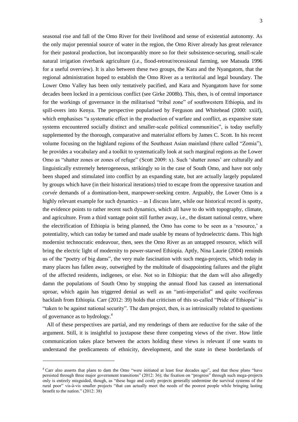seasonal rise and fall of the Omo River for their livelihood and sense of existential autonomy. As the only major perennial source of water in the region, the Omo River already has great relevance for their pastoral production, but incomparably more so for their subsistence-securing, small-scale natural irrigation riverbank agriculture (i.e., flood-retreat/recessional farming, see Matsuda 1996 for a useful overview). It is also between these two groups, the Kara and the Nyangatom, that the regional administration hoped to establish the Omo River as a territorial and legal boundary. The Lower Omo Valley has been only tentatively pacified, and Kara and Nyangatom have for some decades been locked in a pernicious conflict (see Girke 2008b). This, then, is of central importance for the workings of governance in the militarised "tribal zone" of southwestern Ethiopia, and its spill-overs into Kenya. The perspective popularised by Ferguson and Whitehead (2000: xxiif), which emphasises "a systematic effect in the production of warfare and conflict, as expansive state systems encountered socially distinct and smaller-scale political communities", is today usefully supplemented by the thorough, comparative and materialist efforts by James C. Scott. In his recent volume focusing on the highland regions of the Southeast Asian mainland (there called "Zomia"), he provides a vocabulary and a toolkit to systematically look at such marginal regions as the Lower Omo as "shatter zones or zones of refuge" (Scott 2009: x). Such 'shatter zones' are culturally and linguistically extremely heterogeneous, strikingly so in the case of South Omo, and have not only been shaped and stimulated into conflict by an expanding state, but are actually largely populated by groups which have (in their historical iterations) tried to escape from the oppressive taxation and *corvée* demands of a domination-bent, manpower-seeking centre. Arguably, the Lower Omo is a highly relevant example for such dynamics – as I discuss later, while our historical record is spotty, the evidence points to rather recent such dynamics, which all have to do with topography, climate, and agriculture. From a third vantage point still further away, i.e., the distant national centre, where the electrification of Ethiopia is being planned, the Omo has come to be seen as a "resource," a potentiality, which can today be tamed and made usable by means of hydroelectric dams. This high modernist technocratic endeavour, then, sees the Omo River as an untapped resource, which will bring the electric light of modernity to power-starved Ethiopia. Aptly, Nina Laurie (2004) reminds us of the "poetry of big dams", the very male fascination with such mega-projects, which today in many places has fallen away, outweighed by the multitude of disappointing failures and the plight of the affected residents, indigenes, or else. Not so in Ethiopia: that the dam will also allegedly damn the populations of South Omo by stopping the annual flood has caused an international uproar, which again has triggered denial as well as an "anti-imperialist" and quite vociferous backlash from Ethiopia. Carr (2012: 39) holds that criticism of this so-called "Pride of Ethiopia" is "taken to be against national security". The dam project, then, is as intrinsically related to questions of governance as to hydrology.<sup>4</sup>

All of these perspectives are partial, and my renderings of them are reductive for the sake of the argument. Still, it is insightful to juxtapose these three competing views of the river. How little communication takes place between the actors holding these views is relevant if one wants to understand the predicaments of ethnicity, development, and the state in these borderlands of

1

<sup>4</sup> Carr also asserts that plans to dam the Omo "were initiated at least four decades ago", and that these plans "have persisted through three major government transitions" (2012: 36); the fixation on "progress" through such mega-projects only is entirely misguided, though, as "these huge and costly projects generally undermine the survival systems of the rural poor" vis-à-vis smaller projects "that can actually meet the needs of the poorest people while bringing lasting benefit to the nation." (2012: 38)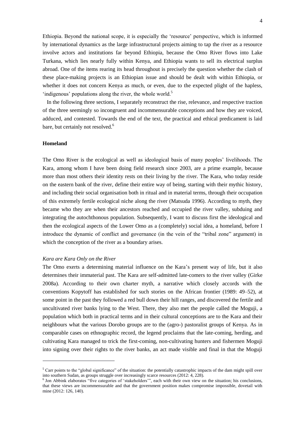Ethiopia. Beyond the national scope, it is especially the "resource" perspective, which is informed by international dynamics as the large infrastructural projects aiming to tap the river as a resource involve actors and institutions far beyond Ethiopia, because the Omo River flows into Lake Turkana, which lies nearly fully within Kenya, and Ethiopia wants to sell its electrical surplus abroad. One of the items rearing its head throughout is precisely the question whether the clash of these place-making projects is an Ethiopian issue and should be dealt with within Ethiopia, or whether it does not concern Kenya as much, or even, due to the expected plight of the hapless,  $'$ indigenous' populations along the river, the whole world.<sup>5</sup>

In the following three sections, I separately reconstruct the rise, relevance, and respective traction of the three seemingly so incongruent and incommensurable conceptions and how they are voiced, adduced, and contested. Towards the end of the text, the practical and ethical predicament is laid bare, but certainly not resolved.<sup>6</sup>

# **Homeland**

1

The Omo River is the ecological as well as ideological basis of many peoples" livelihoods. The Kara, among whom I have been doing field research since 2003, are a prime example, because more than most others their identity rests on their living by the river. The Kara, who today reside on the eastern bank of the river, define their entire way of being, starting with their mythic history, and including their social organisation both in ritual and in material terms, through their occupation of this extremely fertile ecological niche along the river (Matsuda 1996). According to myth, they became who they are when their ancestors reached and occupied the river valley, subduing and integrating the autochthonous population. Subsequently, I want to discuss first the ideological and then the ecological aspects of the Lower Omo as a (completely) social idea, a homeland, before I introduce the dynamic of conflict and governance (in the vein of the "tribal zone" argument) in which the conception of the river as a boundary arises.

#### *Kara are Kara Only on the River*

The Omo exerts a determining material influence on the Kara"s present way of life, but it also determines their immaterial past. The Kara are self-admitted late-comers to the river valley (Girke 2008a). According to their own charter myth, a narrative which closely accords with the conventions Kopytoff has established for such stories on the African frontier (1989: 49–52), at some point in the past they followed a red bull down their hill ranges, and discovered the fertile and uncultivated river banks lying to the West. There, they also met the people called the Moguji, a population which both in practical terms and in their cultural conceptions are to the Kara and their neighbours what the various Dorobo groups are to the (agro-) pastoralist groups of Kenya. As in comparable cases on ethnographic record, the legend proclaims that the late-coming, herding, and cultivating Kara managed to trick the first-coming, non-cultivating hunters and fishermen Moguji into signing over their rights to the river banks, an act made visible and final in that the Moguji

 $<sup>5</sup>$  Carr points to the "global significance" of the situation: the potentially catastrophic impacts of the dam might spill over</sup> into southern Sudan, as groups struggle over increasingly scarce resources (2012: 4, 228).

<sup>6</sup> Jon Abbink elaborates "five categories of "stakeholders"", each with their own view on the situation; his conclusions, that these views are incommensurable and that the government position makes compromise impossible, dovetail with mine (2012: 126, 140).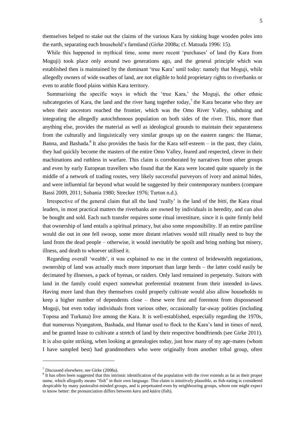themselves helped to stake out the claims of the various Kara by sinking huge wooden poles into the earth, separating each household"s farmland (Girke 2008a; cf. Matsuda 1996: 15).

While this happened in mythical time, some more recent 'purchases' of land (by Kara from Moguji) took place only around two generations ago, and the general principle which was established then is maintained by the dominant "true Kara" until today: namely that Moguji, while allegedly owners of wide swathes of land, are not eligible to hold proprietary rights to riverbanks or even to arable flood plains within Kara territory.

Summarising the specific ways in which the "true Kara," the Moguji, the other ethnic subcategories of Kara, the land and the river hang together today,<sup>7</sup> the Kara became who they are when their ancestors reached the frontier, which was the Omo River Valley, subduing and integrating the allegedly autochthonous population on both sides of the river. This, more than anything else, provides the material as well as ideological grounds to maintain their separateness from the culturally and linguistically very similar groups up on the eastern ranges: the Hamar, Banna, and Bashada.<sup>8</sup> It also provides the basis for the Kara self-esteem  $-$  in the past, they claim, they had quickly become the masters of the entire Omo Valley, feared and respected, clever in their machinations and ruthless in warfare. This claim is corroborated by narratives from other groups and even by early European travellers who found that the Kara were located quite squarely in the middle of a network of trading routes, very likely successful purveyors of ivory and animal hides, and were influential far beyond what would be suggested by their contemporary numbers (compare Bassi 2009, 2011; Sobania 1980; Strecker 1976; Turton n.d.).

Irrespective of the general claim that all the land "really" is the land of the *bitti*, the Kara ritual leaders, in most practical matters the riverbanks are owned by individuals in heredity, and can also be bought and sold. Each such transfer requires some ritual investiture, since it is quite firmly held that ownership of land entails a spiritual primacy, but also some responsibility. If an entire patriline would die out in one fell swoop, some more distant relatives would still ritually need to buy the land from the dead people – otherwise, it would inevitably be spoilt and bring nothing but misery, illness, and death to whoever utilised it.

Regarding overall "wealth", it was explained to me in the context of bridewealth negotiations, ownership of land was actually much more important than large herds – the latter could easily be decimated by illnesses, a pack of hyenas, or raiders. Only land remained in perpetuity. Suitors with land in the family could expect somewhat preferential treatment from their intended in-laws. Having more land than they themselves could properly cultivate would also allow households to keep a higher number of dependents close – these were first and foremost from dispossessed Moguji, but even today individuals from various other, occasionally far-away polities (including Toposa and Turkana) live among the Kara. It is well-established, especially regarding the 1970s, that numerous Nyangatom, Bashada, and Hamar used to flock to the Kara"s land in times of need, and be granted lease to cultivate a stretch of land by their respective bondfriends (see Girke 2011). It is also quite striking, when looking at genealogies today, just how many of my age-mates (whom I have sampled best) had grandmothers who were originally from another tribal group, often

1

<sup>7</sup> Discussed elsewhere, see Girke (2008a).

<sup>&</sup>lt;sup>8</sup> It has often been suggested that this intrinsic identification of the population with the river extends as far as their proper name, which allegedly means "fish" in their own language. This claim is intuitively plausible, as fish-eating is considered despicable by many pastoralist-minded groups, and is perpetuated even by neighbouring groups, whom one might expect to know better: the pronunciation differs between *kara* and *káára* (fish)*.*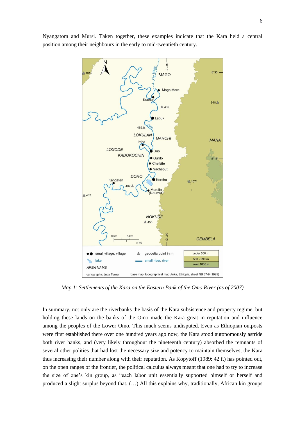

Nyangatom and Mursi. Taken together, these examples indicate that the Kara held a central position among their neighbours in the early to mid-twentieth century.

*Map 1: Settlements of the Kara on the Eastern Bank of the Omo River (as of 2007)*

In summary, not only are the riverbanks the basis of the Kara subsistence and property regime, but holding these lands on the banks of the Omo made the Kara great in reputation and influence among the peoples of the Lower Omo. This much seems undisputed. Even as Ethiopian outposts were first established there over one hundred years ago now, the Kara stood autonomously astride both river banks, and (very likely throughout the nineteenth century) absorbed the remnants of several other polities that had lost the necessary size and potency to maintain themselves, the Kara thus increasing their number along with their reputation. As Kopytoff (1989: 42 f.) has pointed out, on the open ranges of the frontier, the political calculus always meant that one had to try to increase the size of one"s kin group, as "each labor unit essentially supported himself or herself and produced a slight surplus beyond that. (…) All this explains why, traditionally, African kin groups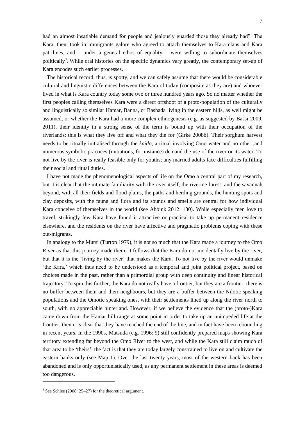had an almost insatiable demand for people and jealously guarded those they already had". The Kara, then, took in immigrants galore who agreed to attach themselves to Kara clans and Kara patrilines, and – under a general ethos of equality – were willing to subordinate themselves politically<sup>9</sup>. While oral histories on the specific dynamics vary greatly, the contemporary set-up of Kara encodes such earlier processes.

The historical record, thus, is spotty, and we can safely assume that there would be considerable cultural and linguistic differences between the Kara of today (composite as they are) and whoever lived in what is Kara country today some two or three hundred years ago. So no matter whether the first peoples calling themselves Kara were a direct offshoot of a proto-population of the culturally and linguistically so similar Hamar, Banna, or Bashada living in the eastern hills, as well might be assumed, or whether the Kara had a more complex ethnogenesis (e.g. as suggested by Bassi 2009, 2011), their identity in a strong sense of the term is bound up with their occupation of the riverlands: this is what they live off and what they die for (Girke 2008b). Their sorghum harvest needs to be ritually initialised through the *kaido*, a ritual involving Omo water and no other ,and numerous symbolic practices (initiations, for instance) demand the use of the river or its water. To not live by the river is really feasible only for youths; any married adults face difficulties fulfilling their social and ritual duties.

I have not made the phenomenological aspects of life on the Omo a central part of my research, but it is clear that the intimate familiarity with the river itself, the riverine forest, and the savannah beyond, with all their fields and flood plains, the paths and herding grounds, the hunting spots and clay deposits, with the fauna and flora and its sounds and smells are central for how individual Kara conceive of themselves in the world (see Abbink 2012: 130). While especially men love to travel, strikingly few Kara have found it attractive or practical to take up permanent residence elsewhere, and the residents on the river have affective and pragmatic problems coping with these out-migrants.

In analogy to the Mursi (Turton 1979), it is not so much that the Kara made a journey to the Omo River as that this journey made them; it follows that the Kara do not incidentally live by the river, but that it is the "living by the river" that makes the Kara. To not live by the river would unmake 'the Kara,' which thus need to be understood as a temporal and joint political project, based on choices made in the past, rather than a primordial group with deep continuity and linear historical trajectory. To spin this further, the Kara do not really have a frontier, but they are a frontier: there is no buffer between them and their neighbours, but they are a buffer between the Nilotic speaking populations and the Omotic speaking ones, with their settlements lined up along the river north to south, with no appreciable hinterland. However, if we believe the evidence that the (proto-)Kara came down from the Hamar hill range at some point in order to take up an unimpeded life at the frontier, then it is clear that they have reached the end of the line, and in fact have been rebounding in recent years. In the 1990s, Matsuda (e.g. 1996: 9) still confidently prepared maps showing Kara territory extending far beyond the Omo River to the west, and while the Kara still claim much of that area to be "theirs", the fact is that they are today largely constrained to live on and cultivate the eastern banks only (see Map 1). Over the last twenty years, most of the western bank has been abandoned and is only opportunistically used, as any permanent settlement in these areas is deemed too dangerous.

 $9^9$  See Schlee (2008: 25–27) for the theoretical argument.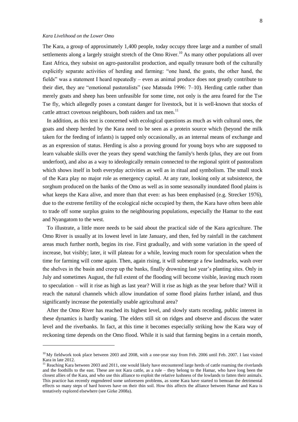# *Kara Livelihood on the Lower Omo*

1

The Kara, a group of approximately 1,400 people, today occupy three large and a number of small settlements along a largely straight stretch of the Omo River.<sup>10</sup> As many other populations all over East Africa, they subsist on agro-pastoralist production, and equally treasure both of the culturally explicitly separate activities of herding and farming: "one hand, the goats, the other hand, the fields" was a statement I heard repeatedly – even as animal produce does not greatly contribute to their diet, they are "emotional pastoralists" (see Matsuda 1996: 7–10). Herding cattle rather than merely goats and sheep has been unfeasible for some time, not only is the area feared for the Tse Tse fly, which allegedly poses a constant danger for livestock, but it is well-known that stocks of cattle attract covetous neighbours, both raiders and tax men.<sup>11</sup>

In addition, as this text is concerned with ecological questions as much as with cultural ones, the goats and sheep herded by the Kara need to be seen as a protein source which (beyond the milk taken for the feeding of infants) is tapped only occasionally, as an internal means of exchange and as an expression of status. Herding is also a proving ground for young boys who are supposed to learn valuable skills over the years they spend watching the family's herds (plus, they are out from underfoot), and also as a way to ideologically remain connected to the regional spirit of pastoralism which shows itself in both everyday activities as well as in ritual and symbolism. The small stock of the Kara play no major role as emergency capital. At any rate, looking only at subsistence, the sorghum produced on the banks of the Omo as well as in some seasonally inundated flood plains is what keeps the Kara alive, and more than that even: as has been emphasised (e.g. Strecker 1976), due to the extreme fertility of the ecological niche occupied by them, the Kara have often been able to trade off some surplus grains to the neighbouring populations, especially the Hamar to the east and Nyangatom to the west.

To illustrate, a little more needs to be said about the practical side of the Kara agriculture. The Omo River is usually at its lowest level in late January, and then, fed by rainfall in the catchment areas much further north, begins its rise. First gradually, and with some variation in the speed of increase, but visibly; later, it will plateau for a while, leaving much room for speculation when the time for farming will come again. Then, again rising, it will submerge a few landmarks, wash over the shelves in the basin and creep up the banks, finally drowning last year's planting sites. Only in July and sometimes August, the full extent of the flooding will become visible, leaving much room to speculation – will it rise as high as last year? Will it rise as high as the year before that? Will it reach the natural channels which allow inundation of some flood plains further inland, and thus significantly increase the potentially usable agricultural area?

After the Omo River has reached its highest level, and slowly starts receding, public interest in these dynamics is hardly waning. The elders still sit on ridges and observe and discuss the water level and the riverbanks. In fact, at this time it becomes especially striking how the Kara way of reckoning time depends on the Omo flood. While it is said that farming begins in a certain month,

 $10$  My fieldwork took place between 2003 and 2008, with a one-year stay from Feb. 2006 until Feb. 2007. I last visited Kara in late 2012.

 $11$  Reaching Kara between 2003 and 2011, one would likely have encountered large herds of cattle roaming the riverlands and the foothills to the east. These are not Kara cattle, as a rule – they belong to the Hamar, who have long been the closest allies of the Kara, and who use this alliance to exploit the relative lushness of the lowlands to fatten their animals. This practice has recently engendered some unforeseen problems, as some Kara have started to bemoan the detrimental effects so many steps of hard hooves have on their thin soil. How this affects the alliance between Hamar and Kara is tentatively explored elsewhere (see Girke 2008a).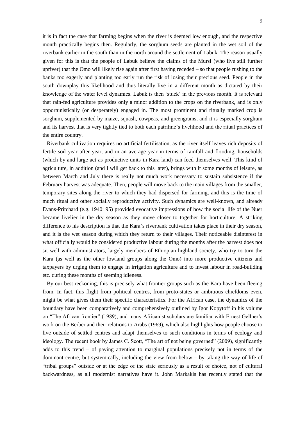it is in fact the case that farming begins when the river is deemed low enough, and the respective month practically begins then. Regularly, the sorghum seeds are planted in the wet soil of the riverbank earlier in the south than in the north around the settlement of Labuk. The reason usually given for this is that the people of Labuk believe the claims of the Mursi (who live still further upriver) that the Omo will likely rise again after first having receded – so that people rushing to the banks too eagerly and planting too early run the risk of losing their precious seed. People in the south downplay this likelihood and thus literally live in a different month as dictated by their knowledge of the water level dynamics. Labuk is then "stuck" in the previous month. It is relevant that rain-fed agriculture provides only a minor addition to the crops on the riverbank, and is only opportunistically (or desperately) engaged in. The most prominent and ritually marked crop is sorghum, supplemented by maize, squash, cowpeas, and greengrams, and it is especially sorghum and its harvest that is very tightly tied to both each patriline"s livelihood and the ritual practices of the entire country.

Riverbank cultivation requires no artificial fertilisation, as the river itself leaves rich deposits of fertile soil year after year, and in an average year in terms of rainfall and flooding, households (which by and large act as productive units in Kara land) can feed themselves well. This kind of agriculture, in addition (and I will get back to this later), brings with it some months of leisure, as between March and July there is really not much work necessary to sustain subsistence if the February harvest was adequate. Then, people will move back to the main villages from the smaller, temporary sites along the river to which they had dispersed for farming, and this is the time of much ritual and other socially reproductive activity. Such dynamics are well-known, and already Evans-Pritchard (e.g. 1940: 95) provided evocative impressions of how the social life of the Nuer became livelier in the dry season as they move closer to together for horticulture. A striking difference to his description is that the Kara"s riverbank cultivation takes place in their dry season, and it is the wet season during which they return to their villages. Their noticeable disinterest in what officially would be considered productive labour during the months after the harvest does not sit well with administrators, largely members of Ethiopian highland society, who try to turn the Kara (as well as the other lowland groups along the Omo) into more productive citizens and taxpayers by urging them to engage in irrigation agriculture and to invest labour in road-building etc. during these months of seeming idleness.

By our best reckoning, this is precisely what frontier groups such as the Kara have been fleeing from. In fact, this flight from political centres, from proto-states or ambitious chiefdoms even, might be what gives them their specific characteristics. For the African case, the dynamics of the boundary have been comparatively and comprehensively outlined by Igor Kopytoff in his volume on "The African frontier" (1989), and many Africanist scholars are familiar with Ernest Gellner"s work on the Berber and their relations to Arabs (1969), which also highlights how people choose to live outside of settled centres and adapt themselves to such conditions in terms of ecology and ideology. The recent book by James C. Scott, "The art of not being governed" (2009), significantly adds to this trend – of paying attention to marginal populations precisely not in terms of the dominant centre, but systemically, including the view from below – by taking the way of life of "tribal groups" outside or at the edge of the state seriously as a result of choice, not of cultural backwardness, as all modernist narratives have it. John Markakis has recently stated that the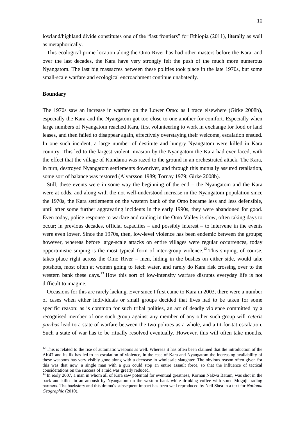lowland/highland divide constitutes one of the "last frontiers" for Ethiopia (2011), literally as well as metaphorically.

This ecological prime location along the Omo River has had other masters before the Kara, and over the last decades, the Kara have very strongly felt the push of the much more numerous Nyangatom. The last big massacres between these polities took place in the late 1970s, but some small-scale warfare and ecological encroachment continue unabatedly.

#### **Boundary**

-

The 1970s saw an increase in warfare on the Lower Omo: as I trace elsewhere (Girke 2008b), especially the Kara and the Nyangatom got too close to one another for comfort. Especially when large numbers of Nyangatom reached Kara, first volunteering to work in exchange for food or land leases, and then failed to disappear again, effectively overstaying their welcome, escalation ensued. In one such incident, a large number of destitute and hungry Nyangatom were killed in Kara country. This led to the largest violent invasion by the Nyangatom the Kara had ever faced, with the effect that the village of Kundama was razed to the ground in an orchestrated attack. The Kara, in turn, destroyed Nyangatom settlements downriver, and through this mutually assured retaliation, some sort of balance was restored (Alvarsson 1989; Tornay 1979; Girke 2008b).

Still, these events were in some way the beginning of the end – the Nyangatom and the Kara were at odds, and along with the not well-understood increase in the Nyangatom population since the 1970s, the Kara settlements on the western bank of the Omo became less and less defensible, until after some further aggravating incidents in the early 1990s, they were abandoned for good. Even today, police response to warfare and raiding in the Omo Valley is slow, often taking days to occur; in previous decades, official capacities – and possibly interest – to intervene in the events were even lower. Since the 1970s, then, low-level violence has been endemic between the groups; however, whereas before large-scale attacks on entire villages were regular occurrences, today opportunistic sniping is the most typical form of inter-group violence.<sup>12</sup> This sniping, of course, takes place right across the Omo River – men, hiding in the bushes on either side, would take potshots, most often at women going to fetch water, and rarely do Kara risk crossing over to the western bank these days.<sup>13</sup> How this sort of low-intensity warfare disrupts everyday life is not difficult to imagine.

Occasions for this are rarely lacking. Ever since I first came to Kara in 2003, there were a number of cases when either individuals or small groups decided that lives had to be taken for some specific reason: as is common for such tribal polities, an act of deadly violence committed by a recognised member of one such group against any member of any other such group will *ceteris paribus* lead to a state of warfare between the two polities as a whole, and a tit-for-tat escalation. Such a state of war has to be ritually resolved eventually. However, this will often take months,

 $12$  This is related to the rise of automatic weapons as well. Whereas it has often been claimed that the introduction of the AK47 and its ilk has led to an escalation of violence, in the case of Kara and Nyangatom the increasing availability of these weapons has very visibly gone along with a decrease in wholesale slaughter. The obvious reason often given for this was that now, a single man with a gun could stop an entire assault force, so that the influence of tactical considerations on the success of a raid was greatly reduced.

<sup>&</sup>lt;sup>13</sup> In early 2007, a man in whom all of Kara saw potential for eventual greatness, Kornan Nakwa Batum, was shot in the back and killed in an ambush by Nyangatom on the western bank while drinking coffee with some Moguji trading partners. The backstory and this drama"s subsequent impact has been well reproduced by Neil Shea in a text for *National Geographic* (2010).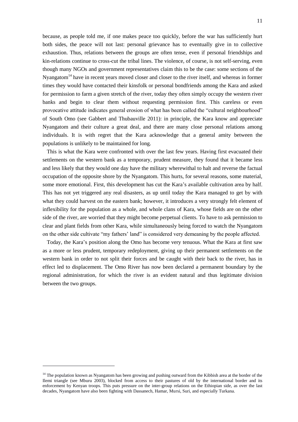because, as people told me, if one makes peace too quickly, before the war has sufficiently hurt both sides, the peace will not last: personal grievance has to eventually give in to collective exhaustion. Thus, relations between the groups are often tense, even if personal friendships and kin-relations continue to cross-cut the tribal lines. The violence, of course, is not self-serving, even though many NGOs and government representatives claim this to be the case: some sections of the Nyangatom<sup>14</sup> have in recent years moved closer and closer to the river itself, and whereas in former times they would have contacted their kinsfolk or personal bondfriends among the Kara and asked for permission to farm a given stretch of the river, today they often simply occupy the western river banks and begin to clear them without requesting permission first. This careless or even provocative attitude indicates general erosion of what has been called the "cultural neighbourhood" of South Omo (see Gabbert and Thubauville 2011): in principle, the Kara know and appreciate Nyangatom and their culture a great deal, and there are many close personal relations among individuals. It is with regret that the Kara acknowledge that a general amity between the populations is unlikely to be maintained for long.

This is what the Kara were confronted with over the last few years. Having first evacuated their settlements on the western bank as a temporary, prudent measure, they found that it became less and less likely that they would one day have the military wherewithal to halt and reverse the factual occupation of the opposite shore by the Nyangatom. This hurts, for several reasons, some material, some more emotional. First, this development has cut the Kara's available cultivation area by half. This has not yet triggered any real disasters, as up until today the Kara managed to get by with what they could harvest on the eastern bank; however, it introduces a very strongly felt element of inflexibility for the population as a whole, and whole clans of Kara, whose fields are on the other side of the river, are worried that they might become perpetual clients. To have to ask permission to clear and plant fields from other Kara, while simultaneously being forced to watch the Nyangatom on the other side cultivate "my fathers" land" is considered very demeaning by the people affected.

Today, the Kara"s position along the Omo has become very tenuous. What the Kara at first saw as a more or less prudent, temporary redeployment, giving up their permanent settlements on the western bank in order to not split their forces and be caught with their back to the river, has in effect led to displacement. The Omo River has now been declared a permanent boundary by the regional administration, for which the river is an evident natural and thus legitimate division between the two groups.

<sup>&</sup>lt;sup>14</sup> The population known as Nyangatom has been growing and pushing outward from the Kibbish area at the border of the Ilemi triangle (see Mburu 2003), blocked from access to their pastures of old by the international border and its enforcement by Kenyan troops. This puts pressure on the inter-group relations on the Ethiopian side, as over the last decades, Nyangatom have also been fighting with Dassanech, Hamar, Mursi, Suri, and especially Turkana.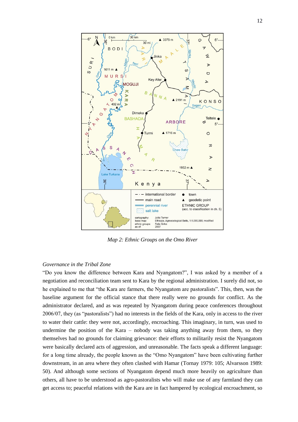

*Map 2: Ethnic Groups on the Omo River*

# *Governance in the Tribal Zone*

"Do you know the difference between Kara and Nyangatom?", I was asked by a member of a negotiation and reconciliation team sent to Kara by the regional administration. I surely did not, so he explained to me that "the Kara are farmers, the Nyangatom are pastoralists". This, then, was the baseline argument for the official stance that there really were no grounds for conflict. As the administrator declared, and as was repeated by Nyangatom during peace conferences throughout 2006/07, they (as "pastoralists") had no interests in the fields of the Kara, only in access to the river to water their cattle: they were not, accordingly, encroaching. This imaginary, in turn, was used to undermine the position of the Kara – nobody was taking anything away from them, so they themselves had no grounds for claiming grievance: their efforts to militarily resist the Nyangatom were basically declared acts of aggression, and unreasonable. The facts speak a different language: for a long time already, the people known as the "Omo Nyangatom" have been cultivating further downstream, in an area where they often clashed with Hamar (Tornay 1979: 105; Alvarsson 1989: 50). And although some sections of Nyangatom depend much more heavily on agriculture than others, all have to be understood as agro-pastoralists who will make use of any farmland they can get access to; peaceful relations with the Kara are in fact hampered by ecological encroachment, so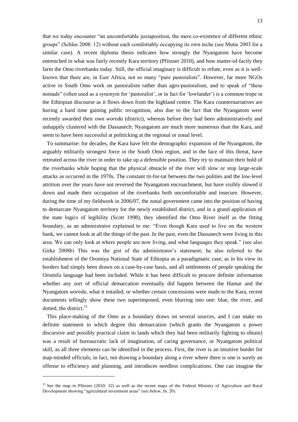that we today encounter "an uncomfortable juxtaposition, the mere co-existence of different ethnic groups" (Schlee 2008: 12) without each comfortably occupying its own niche (see Mutie 2003 for a similar case). A recent diploma thesis indicates how strongly the Nyangatom have become entrenched in what was fairly recently Kara territory (Pfitzner 2010), and how matter-of-factly they farm the Omo riverbanks today. Still, the official imaginary is difficult to refute, even as it is wellknown that there are, in East Africa, not so many "pure pastoralists". However, far more NGOs active in South Omo work on pastoralism rather than agro-pastoralism, and to speak of "these nomads" (often used as a synonym for "pastoralist", or in fact for "lowlander") is a common trope in the Ethiopian discourse as it flows down from the highland centre. The Kara counternarratives are having a hard time gaining public recognition, also due to the fact that the Nyangatom were recently awarded their own *woreda* (district), whereas before they had been administratively and unhappily clustered with the Dassanech: Nyangatom are much more numerous than the Kara, and seem to have been successful at politicking at the regional or zonal level.

To summarise: for decades, the Kara have felt the demographic expansion of the Nyangatom, the arguably militarily strongest force in the South Omo region, and in the face of this threat, have retreated across the river in order to take up a defensible position. They try to maintain their hold of the riverbanks while hoping that the physical obstacle of the river will slow or stop large-scale attacks as occurred in the 1970s. The constant tit-for-tat between the two polities and the low-level attrition over the years have not reversed the Nyangatom encroachment, but have visibly slowed it down and made their occupation of the riverbanks both uncomfortable and insecure. However, during the time of my fieldwork in 2006/07, the zonal government came into the position of having to demarcate Nyangatom territory for the newly established district, and in a grand application of the state logics of legibility (Scott 1998), they identified the Omo River itself as the fitting boundary, as an administrator explained to me: "Even though Kara used to live on the western bank, we cannot look at all the things of the past. In the past, even the Dassanech were living in this area. We can only look at where people are now living, and what languages they speak." (see also Girke 2008b) This was the gist of the administrator's statement; he also referred to the establishment of the Oromiya National State of Ethiopia as a paradigmatic case, as in his view its borders had simply been drawn on a case-by-case basis, and all settlements of people speaking the Oromifa language had been included. While it has been difficult to procure definite information whether any sort of official demarcation eventually did happen between the Hamar and the Nyangatom *woreda*, what it entailed, or whether certain concessions were made to the Kara, recent documents tellingly show these two superimposed, even blurring into one: blue, the river, and dotted, the district.<sup>15</sup>

This place-making of the Omo as a boundary draws on several sources, and I can make no definite statement to which degree this demarcation (which grants the Nyangatom a power discursive and possibly practical claim to lands which they had been militarily fighting to obtain) was a result of bureaucratic lack of imagination, of caring governance, or Nyangatom political skill, as all three elements can be identified in the process. First, the river is an intuitive border for map-minded officials; in fact, not drawing a boundary along a river where there is one is surely an offense to efficiency and planning, and introduces needless complications. One can imagine the

1

<sup>&</sup>lt;sup>15</sup> See the map in Pfitzner (2010: 32) as well as the recent maps of the Federal Ministry of Agriculture and Rural Development showing "agricultural investment areas" (see below, fn. 20).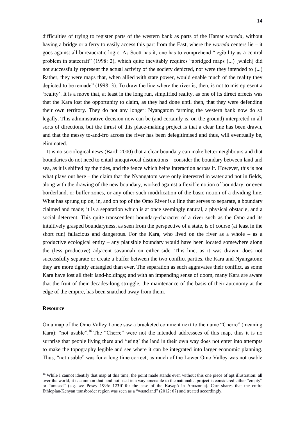difficulties of trying to register parts of the western bank as parts of the Hamar *woreda*, without having a bridge or a ferry to easily access this part from the East, where the *woreda* centers lie – it goes against all bureaucratic logic. As Scott has it, one has to comprehend "legibility as a central problem in statecraft" (1998: 2), which quite inevitably requires "abridged maps (...) [which] did not successfully represent the actual activity of the society depicted, nor were they intended to (...) Rather, they were maps that, when allied with state power, would enable much of the reality they depicted to be remade" (1998: 3). To draw the line where the river is, then, is not to misrepresent a "reality". It is a move that, at least in the long run, simplified reality, as one of its direct effects was that the Kara lost the opportunity to claim, as they had done until then, that they were defending their own territory. They do not any longer: Nyangatom farming the western bank now do so legally. This administrative decision now can be (and certainly is, on the ground) interpreted in all sorts of directions, but the thrust of this place-making project is that a clear line has been drawn, and that the messy to-and-fro across the river has been delegitimised and thus, will eventually be, eliminated.

It is no sociological news (Barth 2000) that a clear boundary can make better neighbours and that boundaries do not need to entail unequivocal distinctions – consider the boundary between land and sea, as it is shifted by the tides, and the fence which helps interaction across it. However, this is not what plays out here – the claim that the Nyangatom were only interested in water and not in fields, along with the drawing of the new boundary, worked against a flexible notion of boundary, or even borderland, or buffer zones, or any other such modification of the basic notion of a dividing line. What has sprung up on, in, and on top of the Omo River is a line that serves to separate, a boundary claimed and made; it is a separation which is at once seemingly natural, a physical obstacle, and a social deterrent. This quite transcendent boundary-character of a river such as the Omo and its intuitively grasped boundaryness, as seen from the perspective of a state, is of course (at least in the short run) fallacious and dangerous. For the Kara, who lived on the river as a whole – as a productive ecological entity – any plausible boundary would have been located somewhere along the (less productive) adjacent savannah on either side. This line, as it was drawn, does not successfully separate or create a buffer between the two conflict parties, the Kara and Nyangatom: they are more tightly entangled than ever. The separation as such aggravates their conflict, as some Kara have lost all their land-holdings; and with an impending sense of doom, many Kara are aware that the fruit of their decades-long struggle, the maintenance of the basis of their autonomy at the edge of the empire, has been snatched away from them.

#### **Resource**

-

On a map of the Omo Valley I once saw a bracketed comment next to the name "Cherre" (meaning Kara): "not usable".<sup>16</sup> The "Cherre" were not the intended addressees of this map, thus it is no surprise that people living there and 'using' the land in their own way does not enter into attempts to make the topography legible and see where it can be integrated into larger economic planning. Thus, "not usable" was for a long time correct, as much of the Lower Omo Valley was not usable

<sup>&</sup>lt;sup>16</sup> While I cannot identify that map at this time, the point made stands even without this one piece of apt illustration: all over the world, it is common that land not used in a way amenable to the nationalist project is considered either "empty" or "unused" (e.g. see Posey 1996: 123ff for the case of the Kayapó in Amazonia). Carr shares that the entire Ethiopian/Kenyan transborder region was seen as a "wasteland" (2012: 67) and treated accordingly.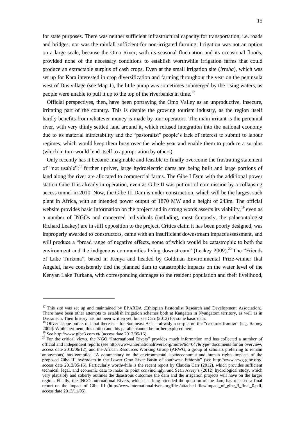for state purposes. There was neither sufficient infrastructural capacity for transportation, i.e. roads and bridges, nor was the rainfall sufficient for non-irrigated farming. Irrigation was not an option on a large scale, because the Omo River, with its seasonal fluctuation and its occasional floods, provided none of the necessary conditions to establish worthwhile irrigation farms that could produce an extractable surplus of cash crops. Even at the small irrigation site (*irrsha*), which was set up for Kara interested in crop diversification and farming throughout the year on the peninsula west of Dus village (see Map 1), the little pump was sometimes submerged by the rising waters, as people were unable to pull it up to the top of the riverbanks in time.<sup>17</sup>

Official perspectives, then, have been portraying the Omo Valley as an unproductive, insecure, irritating part of the country. This is despite the growing tourism industry, as the region itself hardly benefits from whatever money is made by tour operators. The main irritant is the perennial river, with very thinly settled land around it, which refused integration into the national economy due to its material intractability and the "pastoralist" people's lack of interest to submit to labour regimes, which would keep them busy over the whole year and enable them to produce a surplus (which in turn would lend itself to appropriation by others).

Only recently has it become imaginable and feasible to finally overcome the frustrating statement of "not usable":<sup>18</sup> further upriver, large hydroelectric dams are being built and large portions of land along the river are allocated to commercial farms. The Gibe I Dam with the additional power station Gibe II is already in operation, even as Gibe II was put out of commission by a collapsing access tunnel in 2010. Now, the Gibe III Dam is under construction, which will be the largest such plant in Africa, with an intended power output of 1870 MW and a height of 243m. The official website provides basic information on the project and in strong words asserts its viability,  $19$  even as a number of INGOs and concerned individuals (including, most famously, the palaeontologist Richard Leakey) are in stiff opposition to the project. Critics claim it has been poorly designed, was improperly awarded to constructors, came with an insufficient downstream impact assessment, and will produce a "broad range of negative effects, some of which would be catastrophic to both the environment and the indigenous communities living downstream" (Leakey 2009).<sup>20</sup> The "Friends" of Lake Turkana", based in Kenya and headed by Goldman Environmental Prize-winner Ikal Angelei, have consistently tied the planned dam to catastrophic impacts on the water level of the Kenyan Lake Turkana, with corresponding damages to the resident population and their livelihood,

<sup>&</sup>lt;sup>17</sup> This site was set up and maintained by EPARDA (Ethiopian Pastoralist Research and Development Association). There have been other attempts to establish irrigation schemes both at Kangaten in Nyangatom territory, as well as in Dassanech. Their history has not been written yet; but see Carr (2012) for some basic data.

 $18$  Oliver Tappe points out that there is – for Southeast Asia – already a corpus on the "resource frontier" (e.g. Barney 2009). While pertinent, this notion and this parallel cannot be further explored here.

 $19$  See http://www.gibe3.com.et/ (access date 2013/05/16).

<sup>&</sup>lt;sup>20</sup> For the critical views, the NGO "International Rivers" provides much information and has collected a number of official and independent reports (see http://www.internationalrivers.org/more?tid=647&type=documents for an overview, access date 2010/06/12), and the African Resources Working Group (ARWG, a group of scholars preferring to remain anonymous) has compiled "A commentary on the environmental, socioeconomic and human rights impacts of the proposed Gibe III hydrodam in the Lower Omo River Basin of southwest Ethiopia" (see http://www.arwg-gibe.org/, access date 2013/05/16). Particularly worthwhile is the recent report by Claudia Carr (2012), which provides sufficient technical, legal, and economic data to make its point convincingly, and Sean Avery"s (2012) hydrological study, which very plausibly and soberly outlines the disastrous outcomes the dam and the irrigation projects will have on the larger region. Finally, the INGO International Rivers, which has long attended the question of the dam, has released a final report on the impact of Gibe III (http://www.internationalrivers.org/files/attached-files/impact\_of\_gibe\_3\_final\_0.pdf, access date 2013/11/05).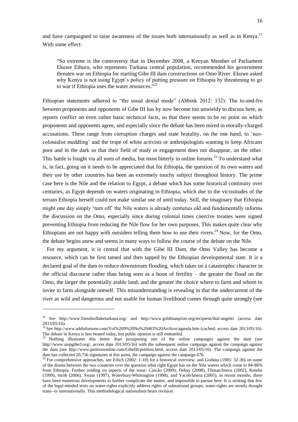and have campaigned to raise awareness of the issues both internationally as well as in Kenya.<sup>21</sup> With some effect:

"So extreme is the controversy that in December 2008, a Kenyan Member of Parliament Ekuwe Ethuro, who represents Turkana central population, recommended his government threaten war on Ethiopia for starting Gibe III dam constructions on Omo River. Ekuwe asked why Kenya is not using Egypt's policy of putting pressure on Ethiopia by threatening to go to war if Ethiopia uses the water resources.<sup>522</sup>

Ethiopian statements adhered to "the usual denial mode" (Abbink 2012: 132). The to-and-fro between proponents and opponents of Gibe III has by now become too unwieldy to discuss here, as reports conflict on even rather basic technical facts, so that there seems to be no point on which proponents and opponents agree, and especially since the debate has been mired in morally-charged accusations. These range from corruption charges and state brutality, on the one hand, to "neocolonialist meddling" and the trope of white activists or anthropologists wanting to keep Africans poor and in the dark so that their field of study or engagement does not disappear, on the other. This battle is fought via all sorts of media, but most bitterly in online forums.<sup>23</sup> To understand what is, in fact, going on it needs to be appreciated that for Ethiopia, the question of its own waters and their use by other countries has been an extremely touchy subject throughout history. The prime case here is the Nile and the relation to Egypt, a debate which has some historical continuity over centuries, as Egypt depends on waters originating in Ethiopia, which due to the vicissitudes of the terrain Ethiopia herself could not make similar use of until today. Still, the imaginary that Ethiopia might one day simply "turn off" the Nile waters is already centuries old and fundamentally informs the discussion on the Omo, especially since during colonial times coercive treaties were signed preventing Ethiopia from reducing the Nile flow for her own purposes. This makes quite clear why Ethiopians are not happy with outsiders telling them how to use their rivers.<sup>24</sup> Now, for the Omo, the debate begins anew and seems in many ways to follow the course of the debate on the Nile.

For my argument, it is central that with the Gibe III Dam, the Omo Valley has become a resource, which can be first tamed and then tapped by the Ethiopian developmental state. It is a declared goal of the dam to reduce downstream flooding, which takes on a catastrophic character in the official discourse rather than being seen as a boon of fertility – the greater the flood on the Omo, the larger the potentially arable land, and the greater the choice where to farm and whom to invite to farm alongside oneself. This misunderstanding is revealing in that the undercurrent of the river as wild and dangerous and not usable for human livelihood comes through quite strongly (see

1

<sup>21</sup> See http://www.friendsoflaketurkana.org/ and http://www.goldmanprize.org/recipient/ikal-angelei (access date  $2013/05/16$ .

<sup>&</sup>lt;sup>22</sup> See http://www.addisfortune.com/Vol%209%20No%20463%20Archive/agenda.htm (cached; access date 2013/05/16). The debate in Kenya is less heated today, but public opinion is still embattled.

<sup>&</sup>lt;sup>23</sup> Nothing illustrates this better than juxtaposing one of the online campaigns against the dam (see http://www.stopgibe3.org/, access date 2013/05/16) with the subsequent online campaign against the campaign against the dam (see http://www.petitiononline.com/GibeIII/petition.html, access date 2013/05/16). The campaign against the dam has collected 20,756 signatures at this point, the campaign against the campaign 676.

<sup>&</sup>lt;sup>24</sup> For comprehensive approaches, see Erlich (2002: 1-10) for a historical overview, and Godana (1985: 32-36) on some of the drama between the two countries over the question what right Egypt has on the Nile waters which come to 84-86% from Ethiopia. Further reading on aspects of the issue: Cascão (2009), Debay (2008), Flintan/Imeru (2002), Kendie (1999), Stroh (2006), Swain (1997), Waterbury/Whittington (1998), and Yacob/Imeru (2005); in recent months, there have been numerous developments to further complicate the matter, and impossible to pursue here. It is striking that few of the legal-minded texts on water-rights explicitly address rights of subnational groups; water-rights are mostly thought trans- or internationally. This methodological nationalism bears revision.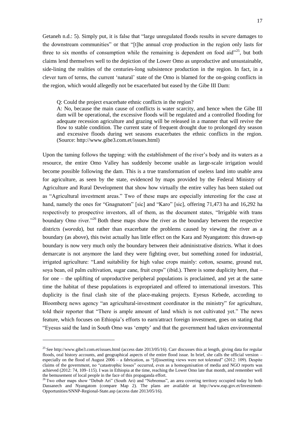Getaneh n.d.: 5). Simply put, it is false that "large unregulated floods results in severe damages to the downstream communities" or that "[t]he annual crop production in the region only lasts for three to six months of consumption while the remaining is dependent on food aid $^{25}$ , but both claims lend themselves well to the depiction of the Lower Omo as unproductive and unsustainable, side-lining the realities of the centuries-long subsistence production in the region. In fact, in a clever turn of terms, the current "natural" state of the Omo is blamed for the on-going conflicts in the region, which would allegedly not be exacerbated but eased by the Gibe III Dam:

#### Q: Could the project exacerbate ethnic conflicts in the region?

A: No, because the main cause of conflicts is water scarcity, and hence when the Gibe III dam will be operational, the excessive floods will be regulated and a controlled flooding for adequate recession agriculture and grazing will be released in a manner that will revive the flow to stable condition. The current state of frequent drought due to prolonged dry season and excessive floods during wet seasons exacerbates the ethnic conflicts in the region. (Source: http://www.gibe3.com.et/issues.html)

Upon the taming follows the tapping: with the establishment of the river's body and its waters as a resource, the entire Omo Valley has suddenly become usable as large-scale irrigation would become possible following the dam. This is a true transformation of useless land into usable area for agriculture, as seen by the state, evidenced by maps provided by the Federal Ministry of Agriculture and Rural Development that show how virtually the entire valley has been staked out as "Agricultural investment areas." Two of these maps are especially interesting for the case at hand, namely the ones for "Gnagnatom" [sic] and "Karo" [sic], offering 71,473 ha and 16,292 ha respectively to prospective investors, all of them, as the document states, "Irrigable with trans boundary Omo river.<sup>226</sup> Both these maps show the river as the boundary between the respective districts (*woreda*), but rather than exacerbate the problems caused by viewing the river as a boundary (as above), this twist actually has little effect on the Kara and Nyangatom: this drawn-up boundary is now very much only the boundary between their administrative districts. What it does demarcate is not anymore the land they were fighting over, but something zoned for industrial, irrigated agriculture: "Land suitability for high value crops mainly: cotton, sesame, ground nut, soya bean, oil palm cultivation, sugar cane, fruit crops" (ibid.). There is some duplicity here, that – for one – the uplifting of unproductive peripheral populations is proclaimed, and yet at the same time the habitat of these populations is expropriated and offered to international investors. This duplicity is the final clash site of the place-making projects. Eyesus Kebede, according to Bloomberg news agency "an agricultural-investment coordinator in the ministry" for agriculture, told their reporter that "There is ample amount of land which is not cultivated yet." The news feature, which focuses on Ethiopia"s efforts to earn/attract foreign investment, goes on stating that "Eyesus said the land in South Omo was "empty" and that the government had taken environmental

<sup>&</sup>lt;sup>25</sup> See http://www.gibe3.com.et/issues.html (access date 2013/05/16). Carr discusses this at length, giving data for regular floods, oral history accounts, and geographical aspects of the entire flood issue. In brief, she calls the official version – especially on the flood of August  $2006 - a$  fabrication, as "[d]issenting views were not tolerated" (2012: 109). Despite claims of the government, no "catastrophic losses" occurred, even as a homogenisation of media and NGO reports was achieved (2012: 74, 109–115). I was in Ethiopia at the time, reaching the Lower Omo late that month, and remember well the bemusement of local people in the face of this propaganda effort.

 $^{26}$  Two other maps show "Debub Ari" (South Ari) and "Nebremus", an area covering territory occupied today by both Dassanech and Nyangatom (compare Map 2). The plans are available at http://www.eap.gov.et/Investment-Opportunities/SNNP-Regional-State.asp (access date 2013/05/16).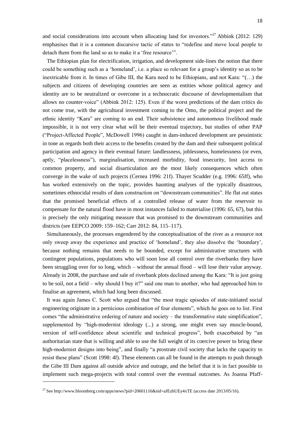and social considerations into account when allocating land for investors."<sup>27</sup> Abbink (2012: 129) emphasises that it is a common discursive tactic of states to "redefine and move local people to detach them from the land so as to make it a "free resource"".

The Ethiopian plan for electrification, irrigation, and development side-lines the notion that there could be something such as a "homeland", i.e. a place so relevant for a group"s identity so as to be inextricable from it. In times of Gibe III, the Kara need to be Ethiopians, and not Kara: "(…) the subjects and citizens of developing countries are seen as entities whose political agency and identity are to be neutralized or overcome in a technocratic discourse of developmentalism that allows no counter-voice" (Abbink 2012: 125). Even if the worst predictions of the dam critics do not come true, with the agricultural investment coming to the Omo, the political project and the ethnic identity "Kara" are coming to an end. Their subsistence and autonomous livelihood made impossible, it is not very clear what will be their eventual trajectory, but studies of other PAP ("Project-Affected People", McDowell 1996) caught in dam-induced development are pessimistic in tone as regards both their access to the benefits created by the dam and their subsequent political participation and agency in their eventual future: landlessness, joblessness, homelessness (or even, aptly, "placelessness"), marginalisation, increased morbidity, food insecurity, lost access to common property, and social disarticulation are the most likely consequences which often converge in the wake of such projects (Cernea 1996: 21f). Thayer Scudder (e.g. 1996: 65ff), who has worked extensively on the topic, provides haunting analyses of the typically disastrous, sometimes ethnocidal results of dam construction on "downstream communities". He flat out states that the promised beneficial effects of a controlled release of water from the reservoir to compensate for the natural flood have in most instances failed to materialise (1996: 65, 67), but this is precisely the only mitigating measure that was promised to the downstream communities and districts (see EEPCO 2009: 159–162; Carr 2012: 84, 115–117).

Simultaneously, the processes engendered by the conceptualisation of the river as a resource not only sweep away the experience and practice of "homeland", they also dissolve the "boundary", because nothing remains that needs to be bounded, except for administrative structures with contingent populations, populations who will soon lose all control over the riverbanks they have been struggling over for so long, which – without the annual flood – will lose their value anyway. Already in 2008, the purchase and sale of riverbank plots declined among the Kara: "It is just going to be soil, not a field – why should I buy it?" said one man to another, who had approached him to finalise an agreement, which had long been discussed.

It was again James C. Scott who argued that "the most tragic episodes of state-initiated social engineering originate in a pernicious combination of four elements", which he goes on to list. First comes "the administrative ordering of nature and society – the transformative state simplification", supplemented by "high-modernist ideology (...) a strong, one might even say muscle-bound, version of self-confidence about scientific and technical progress", both exacerbated by "an authoritarian state that is willing and able to use the full weight of its coercive power to bring these high-modernist designs into being", and finally "a prostrate civil society that lacks the capacity to resist these plans" (Scott 1998: 4f). These elements can all be found in the attempts to push through the Gibe III Dam against all outside advice and outrage, and the belief that it is in fact possible to implement such mega-projects with total control over the eventual outcomes. As Joanna Pfaff-

<sup>&</sup>lt;sup>27</sup> See http://www.bloomberg.com/apps/news?pid=20601116&sid=aJEzbUEy4xTE (access date 2013/05/16).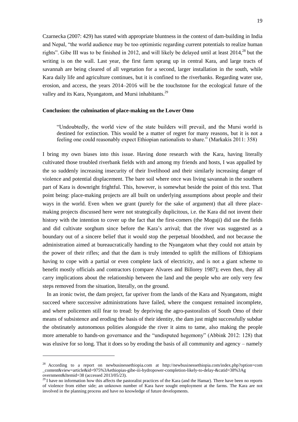Czarnecka (2007: 429) has stated with appropriate bluntness in the context of dam-building in India and Nepal, "the world audience may be too optimistic regarding current potentials to realize human rights". Gibe III was to be finished in 2012, and will likely be delayed until at least 2014,<sup>28</sup> but the writing is on the wall. Last year, the first farm sprang up in central Kara, and large tracts of savannah are being cleared of all vegetation for a second, larger installation in the south, while Kara daily life and agriculture continues, but it is confined to the riverbanks. Regarding water use, erosion, and access, the years 2014–2016 will be the touchstone for the ecological future of the valley and its Kara, Nyangatom, and Mursi inhabitants.<sup>29</sup>

### **Conclusion: the culmination of place-making on the Lower Omo**

"Undoubtedly, the world view of the state builders will prevail, and the Mursi world is destined for extinction. This would be a matter of regret for many reasons, but it is not a feeling one could reasonably expect Ethiopian nationalists to share." (Markakis 2011: 358)

I bring my own biases into this issue. Having done research with the Kara, having literally cultivated those troubled riverbank fields with and among my friends and hosts, I was appalled by the so suddenly increasing insecurity of their livelihood and their similarly increasing danger of violence and potential displacement. The bare soil where once was living savannah in the southern part of Kara is downright frightful. This, however, is somewhat beside the point of this text. That point being: place-making projects are all built on underlying assumptions about people and their ways in the world. Even when we grant (purely for the sake of argument) that all three placemaking projects discussed here were not strategically duplicitous, i.e. the Kara did not invent their history with the intention to cover up the fact that the first-comers (the Moguji) did use the fields and did cultivate sorghum since before the Kara"s arrival; that the river was suggested as a boundary out of a sincere belief that it would stop the perpetual bloodshed, and not because the administration aimed at bureaucratically handing to the Nyangatom what they could not attain by the power of their rifles; and that the dam is truly intended to uplift the millions of Ethiopians having to cope with a partial or even complete lack of electricity, and is not a giant scheme to benefit mostly officials and contractors (compare Alvares and Billorey 1987); even then, they all carry implications about the relationship between the land and the people who are only very few steps removed from the situation, literally, on the ground.

In an ironic twist, the dam project, far upriver from the lands of the Kara and Nyangatom, might succeed where successive administrations have failed, where the conquest remained incomplete, and where policemen still fear to tread: by depriving the agro-pastoralists of South Omo of their means of subsistence and eroding the basis of their identity, the dam just might successfully subdue the obstinately autonomous polities alongside the river it aims to tame, also making the people more amenable to hands-on governance and the "undisputed hegemony" (Abbink 2012: 128) that was elusive for so long. That it does so by eroding the basis of all community and agency – namely

<sup>28</sup> According to a report on newbusinessethiopia.com at http://newbusinessethiopia.com/index.php?option=com \_content&view=article&id=975%3Aethiopias-gibe-iii-hydropower-completion-likely-to-delay-&catid=38%3Ag overnment&Itemid=38 (accessed 2013/05/23).

 $29$  I have no information how this affects the pastoralist practices of the Kara (and the Hamar). There have been no reports of violence from either side; an unknown number of Kara have sought employment at the farms. The Kara are not involved in the planning process and have no knowledge of future developments.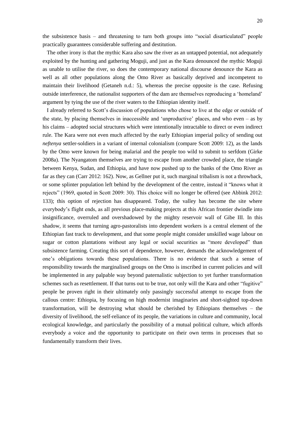20

the subsistence basis – and threatening to turn both groups into "social disarticulated" people practically guarantees considerable suffering and destitution.

The other irony is that the mythic Kara also saw the river as an untapped potential, not adequately exploited by the hunting and gathering Moguji, and just as the Kara denounced the mythic Moguji as unable to utilise the river, so does the contemporary national discourse denounce the Kara as well as all other populations along the Omo River as basically deprived and incompetent to maintain their livelihood (Getaneh n.d.: 5), whereas the precise opposite is the case. Refusing outside interference, the nationalist supporters of the dam are themselves reproducing a "homeland" argument by tying the use of the river waters to the Ethiopian identity itself.

I already referred to Scott"s discussion of populations who chose to live at the edge or outside of the state, by placing themselves in inaccessible and "unproductive" places, and who even – as by his claims – adopted social structures which were intentionally intractable to direct or even indirect rule. The Kara were not even much affected by the early Ethiopian imperial policy of sending out *neftenya* settler-soldiers in a variant of internal colonialism (compare Scott 2009: 12), as the lands by the Omo were known for being malarial and the people too wild to submit to serfdom (Girke 2008a). The Nyangatom themselves are trying to escape from another crowded place, the triangle between Kenya, Sudan, and Ethiopia, and have now pushed up to the banks of the Omo River as far as they can (Carr 2012: 162). Now, as Gellner put it, such marginal tribalism is not a throwback, or some splinter population left behind by the development of the centre, instead it "knows what it rejects" (1969, quoted in Scott 2009: 30). This choice will no longer be offered (see Abbink 2012: 133); this option of rejection has disappeared. Today, the valley has become the site where everybody"s flight ends, as all previous place-making projects at this African frontier dwindle into insignificance, overruled and overshadowed by the mighty reservoir wall of Gibe III. In this shadow, it seems that turning agro-pastoralists into dependent workers is a central element of the Ethiopian fast track to development, and that some people might consider unskilled wage labour on sugar or cotton plantations without any legal or social securities as "more developed" than subsistence farming. Creating this sort of dependence, however, demands the acknowledgement of one"s obligations towards these populations. There is no evidence that such a sense of responsibility towards the marginalised groups on the Omo is inscribed in current policies and will be implemented in any palpable way beyond paternalistic subjection to yet further transformation schemes such as resettlement. If that turns out to be true, not only will the Kara and other "fugitive" people be proven right in their ultimately only passingly successful attempt to escape from the callous centre: Ethiopia, by focusing on high modernist imaginaries and short-sighted top-down transformation, will be destroying what should be cherished by Ethiopians themselves – the diversity of livelihood, the self-reliance of its people, the variations in culture and community, local ecological knowledge, and particularly the possibility of a mutual political culture, which affords everybody a voice and the opportunity to participate on their own terms in processes that so fundamentally transform their lives.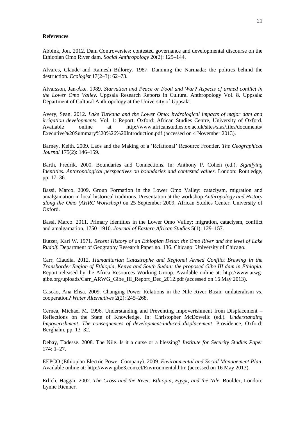#### **References**

Abbink, Jon. 2012. Dam Controversies: contested governance and developmental discourse on the Ethiopian Omo River dam. *Social Anthropology* 20(2): 125–144.

Alvares, Claude and Ramesh Billorey. 1987. Damning the Narmada: the politics behind the destruction. *Ecologist* 17(2–3): 62–73.

Alvarsson, Jan-Åke. 1989. *Starvation and Peace or Food and War? Aspects of armed conflict in the Lower Omo Valley.* Uppsala Research Reports in Cultural Anthropology Vol. 8. Uppsala: Department of Cultural Anthropology at the University of Uppsala.

Avery, Sean. 2012. *Lake Turkana and the Lower Omo: hydrological impacts of major dam and irrigation developments.* Vol. 1: Report. Oxford: African Studies Centre, University of Oxford. Available online at http://www.africanstudies.ox.ac.uk/sites/sias/files/documents/ Executive%20Summary%20%26%20Introduction.pdf (accessed on 4 November 2013).

Barney, Keith. 2009. Laos and the Making of a "Relational" Resource Frontier. *The Geographical Journal* 175(2): 146–159.

Barth, Fredrik. 2000. Boundaries and Connections. In: Anthony P. Cohen (ed.). *Signifying Identities. Anthropological perspectives on boundaries and contested values.* London: Routledge, pp. 17–36.

Bassi, Marco. 2009. Group Formation in the Lower Omo Valley: cataclysm, migration and amalgamation in local historical traditions. Presentation at the workshop *Anthropology and History along the Omo (AHRC Workshop)* on 25 September 2009, African Studies Center, University of Oxford.

Bassi, Marco. 2011. Primary Identities in the Lower Omo Valley: migration, cataclysm, conflict and amalgamation, 1750–1910. *Journal of Eastern African Studies* 5(1): 129–157.

Butzer, Karl W. 1971. *Recent History of an Ethiopian Delta: the Omo River and the level of Lake Rudolf.* Department of Geography Research Paper no. 136. Chicago: University of Chicago.

Carr, Claudia. 2012. *Humanitarian Catastrophe and Regional Armed Conflict Brewing in the Transborder Region of Ethiopia, Kenya and South Sudan: the proposed Gibe III dam in Ethiopia.* Report released by the Africa Resources Working Group. Available online at: http://www.arwggibe.org/uploads/Carr\_ARWG\_Gibe\_III\_Report\_Dec\_2012.pdf (accessed on 16 May 2013).

Cascão, Ana Elisa. 2009. Changing Power Relations in the Nile River Basin: unilateralism vs. cooperation? *Water Alternatives* 2(2): 245–268.

Cernea, Michael M. 1996. Understanding and Preventing Impoverishment from Displacement – Reflections on the State of Knowledge. In: Christopher McDowellc (ed.). *Understanding Impoverishment. The consequences of development-induced displacement*. Providence, Oxford: Berghahn, pp. 13–32.

Debay, Tadesse. 2008. The Nile. Is it a curse or a blessing? *Institute for Security Studies Paper*  174: 1–27.

EEPCO (Ethiopian Electric Power Company). 2009. *Environmental and Social Management Plan*. Available online at: http://www.gibe3.com.et/Environmental.htm (accessed on 16 May 2013).

Erlich, Haggai. 2002. *The Cross and the River. Ethiopia, Egypt, and the Nile.* Boulder, London: Lynne Rienner.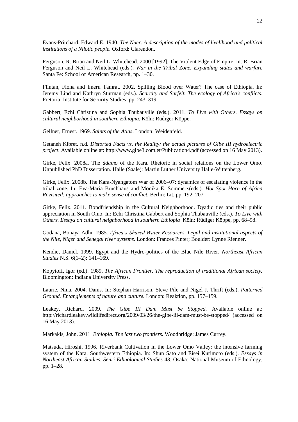Evans-Pritchard, Edward E. 1940. *The Nuer. A description of the modes of livelihood and political institutions of a Nilotic people.* Oxford: Clarendon.

Ferguson, R. Brian and Neil L. Whitehead. 2000 [1992]. The Violent Edge of Empire. In: R. Brian Ferguson and Neil L. Whitehead (eds.)*. War in the Tribal Zone. Expanding states and warfare* Santa Fe: School of American Research, pp. 1–30.

Flintan, Fiona and Imeru Tamrat. 2002. Spilling Blood over Water? The case of Ethiopia. In: Jeremy Lind and Kathryn Sturman (eds.). *Scarcity and Surfeit. The ecology of Africa's conflicts*. Pretoria: Institute for Security Studies, pp. 243–319.

Gabbert, Echi Christina and Sophia Thubauville (eds.). 2011. *To Live with Others. Essays on cultural neighborhood in southern Ethiopia.* Köln: Rüdiger Köppe.

Gellner, Ernest. 1969. *Saints of the Atlas*. London: Weidenfeld.

Getaneh Kibret. n.d. *Distorted Facts vs. the Reality: the actual pictures of Gibe III hydroelectric project*. Available online at: http://www.gibe3.com.et/Publication4.pdf (accessed on 16 May 2013).

Girke, Felix. 2008a. The *ädamo* of the Kara. Rhetoric in social relations on the Lower Omo. Unpublished PhD Dissertation. Halle (Saale): Martin Luther University Halle-Wittenberg.

Girke, Felix. 2008b. The Kara-Nyangatom War of 2006–07: dynamics of escalating violence in the tribal zone. In: Eva-Maria Bruchhaus and Monika E. Sommerx(eds.). *Hot Spot Horn of Africa Revisited: approaches to make sense of conflict.* Berlin: Lit, pp. 192–207.

Girke, Felix. 2011. Bondfriendship in the Cultural Neighborhood. Dyadic ties and their public appreciation in South Omo. In: Echi Christina Gabbert and Sophia Thubauville (eds.). *To Live with Others. Essays on cultural neighborhood in southern Ethiopia* Köln: Rüdiger Köppe, pp. 68–98.

Godana, Bonaya Adhi. 1985. *Africa's Shared Water Resources. Legal and institutional aspects of the Nile, Niger and Senegal river systems.* London: Frances Pinter; Boulder: Lynne Rienner.

Kendie, Daniel. 1999. Egypt and the Hydro-politics of the Blue Nile River. *Northeast African Studies* N.S. 6(1–2): 141–169.

Kopytoff, Igor (ed.). 1989. *The African Frontier. The reproduction of traditional African society.* Bloomington: Indiana University Press.

Laurie, Nina. 2004. Dams. In: Stephan Harrison, Steve Pile and Nigel J. Thrift (eds.). *Patterned Ground. Entanglements of nature and culture.* London: Reaktion, pp. 157–159.

Leakey, Richard. 2009. *The Gibe III Dam Must be Stopped*. Available online at: http://richardleakey.wildlifedirect.org/2009/03/26/the-gibe-iii-dam-must-be-stopped/ (accessed on 16 May 2013).

Markakis, John. 2011. *Ethiopia. The last two frontiers.* Woodbridge: James Currey.

Matsuda, Hiroshi. 1996. Riverbank Cultivation in the Lower Omo Valley: the intensive farming system of the Kara, Southwestern Ethiopia. In: Shun Sato and Eisei Kurimoto (eds.). *Essays in Northeast African Studies. Senri Ethnological Studies* 43. Osaka: National Museum of Ethnology, pp. 1–28.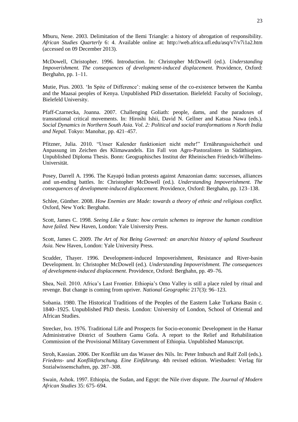Mburu, Nene. 2003. Delimitation of the Ilemi Triangle: a history of abrogation of responsibility. *African Studies Quarterly* 6: 4. Available online at: http://web.africa.ufl.edu/asq/v7/v7i1a2.htm (accessed on 09 December 2013).

McDowell, Christopher. 1996. Introduction. In: Christopher McDowell (ed.). *Understanding Impoverishment. The consequences of development-induced displacement.* Providence, Oxford: Berghahn, pp. 1–11.

Mutie, Pius. 2003. "In Spite of Difference": making sense of the co-existence between the Kamba and the Maasai peoples of Kenya. Unpublished PhD dissertation. Bielefeld: Faculty of Sociology, Bielefeld University.

Pfaff-Czarnecka, Joanna. 2007. Challenging Goliath: people, dams, and the paradoxes of transnational critical movements. In: Hiroshi Ishii, David N. Gellner and Katsua Nawa (eds.). *Social Dynamics in Northern South Asia. Vol. 2: Political and social transformations n North India and Nepal.* Tokyo: Manohar, pp. 421–457.

Pfitzner, Julia. 2010. "Unser Kalender funktioniert nicht mehr!" Ernährungssicherheit und Anpassung im Zeichen des Klimawandels. Ein Fall von Agro-Pastoralisten in Südäthiopien. Unpublished Diploma Thesis. Bonn: Geographisches Institut der Rheinischen Friedrich-Wilhelms-Universität.

Posey, Darrell A. 1996. The Kayapó Indian protests against Amazonian dams: successes, alliances and un-ending battles. In: Christopher McDowell (ed.). *Understanding Impoverishment. The consequences of development-induced displacement.* Providence, Oxford: Berghahn, pp. 123–138.

Schlee, Günther. 2008. *How Enemies are Made: towards a theory of ethnic and religious conflict.* Oxford, New York: Berghahn.

Scott, James C. 1998. *Seeing Like a State: how certain schemes to improve the human condition have failed.* New Haven, London: Yale University Press.

Scott, James C. 2009. *The Art of Not Being Governed: an anarchist history of upland Southeast Asia.* New Haven, London: Yale University Press.

Scudder, Thayer. 1996. Development-induced Impoverishment, Resistance and River-basin Development. In: Christopher McDowell (ed.). *Understanding Impoverishment. The consequences of development-induced displacement.* Providence, Oxford: Berghahn, pp. 49–76.

Shea, Neil. 2010. Africa"s Last Frontier. Ethiopia"s Omo Valley is still a place ruled by ritual and revenge. But change is coming from upriver. *National Geographic* 217(3): 96–123.

Sobania. 1980. The Historical Traditions of the Peoples of the Eastern Lake Turkana Basin c. 1840–1925. Unpublished PhD thesis. London: University of London, School of Oriental and African Studies.

Strecker, Ivo. 1976. Traditional Life and Prospects for Socio-economic Development in the Hamar Administrative District of Southern Gamu Gofa. A report to the Relief and Rehabilitation Commission of the Provisional Military Government of Ethiopia. Unpublished Manuscript.

Stroh, Kassian. 2006. Der Konflikt um das Wasser des Nils. In: Peter Imbusch and Ralf Zoll (eds.). *Friedens- und Konfliktforschung. Eine Einführung.* 4th revised edition. Wiesbaden: Verlag für Sozialwissenschaften, pp. 287–308.

Swain, Ashok. 1997. Ethiopia, the Sudan, and Egypt: the Nile river dispute. *The Journal of Modern African Studies* 35: 675–694.